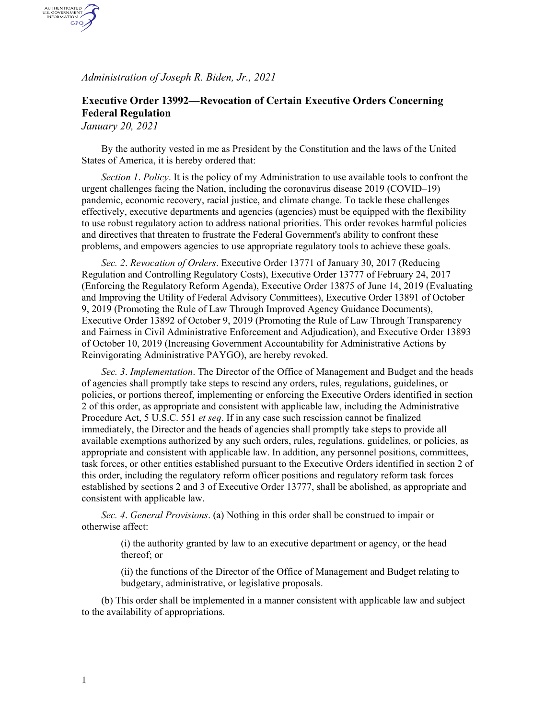*Administration of Joseph R. Biden, Jr., 2021*

## **Executive Order 13992—Revocation of Certain Executive Orders Concerning Federal Regulation**

*January 20, 2021*

AUTHENTICATED<br>U.S. GOVERNMENT<br>INFORMATION GPO

> By the authority vested in me as President by the Constitution and the laws of the United States of America, it is hereby ordered that:

*Section 1*. *Policy*. It is the policy of my Administration to use available tools to confront the urgent challenges facing the Nation, including the coronavirus disease 2019 (COVID–19) pandemic, economic recovery, racial justice, and climate change. To tackle these challenges effectively, executive departments and agencies (agencies) must be equipped with the flexibility to use robust regulatory action to address national priorities. This order revokes harmful policies and directives that threaten to frustrate the Federal Government's ability to confront these problems, and empowers agencies to use appropriate regulatory tools to achieve these goals.

*Sec. 2*. *Revocation of Orders*. Executive Order 13771 of January 30, 2017 (Reducing Regulation and Controlling Regulatory Costs), Executive Order 13777 of February 24, 2017 (Enforcing the Regulatory Reform Agenda), Executive Order 13875 of June 14, 2019 (Evaluating and Improving the Utility of Federal Advisory Committees), Executive Order 13891 of October 9, 2019 (Promoting the Rule of Law Through Improved Agency Guidance Documents), Executive Order 13892 of October 9, 2019 (Promoting the Rule of Law Through Transparency and Fairness in Civil Administrative Enforcement and Adjudication), and Executive Order 13893 of October 10, 2019 (Increasing Government Accountability for Administrative Actions by Reinvigorating Administrative PAYGO), are hereby revoked.

*Sec. 3*. *Implementation*. The Director of the Office of Management and Budget and the heads of agencies shall promptly take steps to rescind any orders, rules, regulations, guidelines, or policies, or portions thereof, implementing or enforcing the Executive Orders identified in section 2 of this order, as appropriate and consistent with applicable law, including the Administrative Procedure Act, 5 U.S.C. 551 *et seq*. If in any case such rescission cannot be finalized immediately, the Director and the heads of agencies shall promptly take steps to provide all available exemptions authorized by any such orders, rules, regulations, guidelines, or policies, as appropriate and consistent with applicable law. In addition, any personnel positions, committees, task forces, or other entities established pursuant to the Executive Orders identified in section 2 of this order, including the regulatory reform officer positions and regulatory reform task forces established by sections 2 and 3 of Executive Order 13777, shall be abolished, as appropriate and consistent with applicable law.

*Sec. 4*. *General Provisions*. (a) Nothing in this order shall be construed to impair or otherwise affect:

> (i) the authority granted by law to an executive department or agency, or the head thereof; or

(ii) the functions of the Director of the Office of Management and Budget relating to budgetary, administrative, or legislative proposals.

(b) This order shall be implemented in a manner consistent with applicable law and subject to the availability of appropriations.